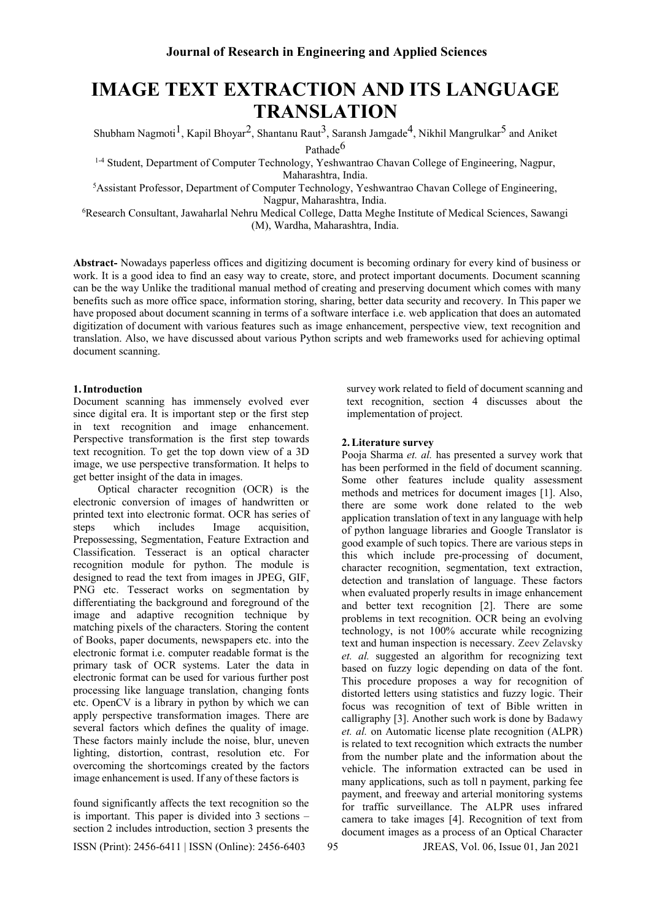# **IMAGE TEXT EXTRACTION AND ITS LANGUAGE TRANSLATION**

Shubham Nagmoti $^1$ , Kapil Bhoyar<sup>2</sup>, Shantanu Raut<sup>3</sup>, Saransh Jamgade<sup>4</sup>, Nikhil Mangrulkar<sup>5</sup> and Aniket Pathade<sup>6</sup>

<sup>1-4</sup> Student, Department of Computer Technology, Yeshwantrao Chavan College of Engineering, Nagpur, Maharashtra, India.

<sup>5</sup>Assistant Professor, Department of Computer Technology, Yeshwantrao Chavan College of Engineering, Nagpur, Maharashtra, India.

<sup>6</sup>Research Consultant, Jawaharlal Nehru Medical College, Datta Meghe Institute of Medical Sciences, Sawangi (M), Wardha, Maharashtra, India.

**Abstract-** Nowadays paperless offices and digitizing document is becoming ordinary for every kind of business or work. It is a good idea to find an easy way to create, store, and protect important documents. Document scanning can be the way Unlike the traditional manual method of creating and preserving document which comes with many benefits such as more office space, information storing, sharing, better data security and recovery. In This paper we have proposed about document scanning in terms of a software interface i.e. web application that does an automated digitization of document with various features such as image enhancement, perspective view, text recognition and translation. Also, we have discussed about various Python scripts and web frameworks used for achieving optimal document scanning.

# **1.Introduction**

Document scanning has immensely evolved ever since digital era. It is important step or the first step in text recognition and image enhancement. Perspective transformation is the first step towards text recognition. To get the top down view of a 3D image, we use perspective transformation. It helps to get better insight of the data in images.

Optical character recognition (OCR) is the electronic conversion of images of handwritten or printed text into electronic format. OCR has series of steps which includes Image acquisition, Prepossessing, Segmentation, Feature Extraction and Classification. Tesseract is an optical character recognition module for python. The module is designed to read the text from images in JPEG, GIF, PNG etc. Tesseract works on segmentation by differentiating the background and foreground of the image and adaptive recognition technique by matching pixels of the characters. Storing the content of Books, paper documents, newspapers etc. into the electronic format i.e. computer readable format is the primary task of OCR systems. Later the data in electronic format can be used for various further post processing like language translation, changing fonts etc. OpenCV is a library in python by which we can apply perspective transformation images. There are several factors which defines the quality of image. These factors mainly include the noise, blur, uneven lighting, distortion, contrast, resolution etc. For overcoming the shortcomings created by the factors image enhancement is used. If any of these factors is

found significantly affects the text recognition so the is important. This paper is divided into 3 sections – section 2 includes introduction, section 3 presents the survey work related to field of document scanning and text recognition, section 4 discusses about the implementation of project.

### **2.Literature survey**

Pooja Sharma *et. al.* has presented a survey work that has been performed in the field of document scanning. Some other features include quality assessment methods and metrices for document images [1]. Also, there are some work done related to the web application translation of text in any language with help of python language libraries and Google Translator is good example of such topics. There are various steps in this which include pre-processing of document, character recognition, segmentation, text extraction, detection and translation of language. These factors when evaluated properly results in image enhancement and better text recognition [2]. There are some problems in text recognition. OCR being an evolving technology, is not 100% accurate while recognizing text and human inspection is necessary. Zeev Zelavsky *et. al.* suggested an algorithm for recognizing text based on fuzzy logic depending on data of the font. This procedure proposes a way for recognition of distorted letters using statistics and fuzzy logic. Their focus was recognition of text of Bible written in calligraphy [3]. Another such work is done by Badawy *et. al.* on Automatic license plate recognition (ALPR) is related to text recognition which extracts the number from the number plate and the information about the vehicle. The information extracted can be used in many applications, such as toll n payment, parking fee payment, and freeway and arterial monitoring systems for traffic surveillance. The ALPR uses infrared camera to take images [4]. Recognition of text from document images as a process of an Optical Character

ISSN (Print): 2456-6411 | ISSN (Online): 2456-640395 JREAS, Vol. 06, Issue 01, Jan 2021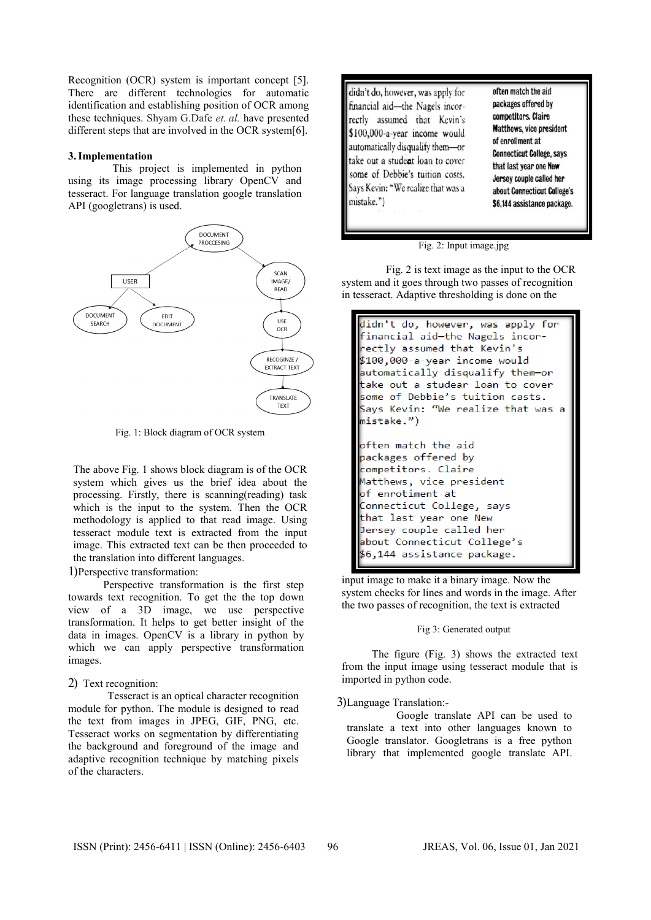Recognition (OCR) system is important concept [5]. There are different technologies for automatic identification and establishing position of OCR among these techniques. Shyam G.Dafe *et. al.* have presented different steps that are involved in the OCR system[6].

#### **3.Implementation**

This project is implemented in python using its image processing library OpenCV and tesseract. For language translation google translation API (googletrans) is used.



Fig. 1: Block diagram of OCR system

The above Fig. 1 shows block diagram is of the OCR system which gives us the brief idea about the processing. Firstly, there is scanning(reading) task which is the input to the system. Then the OCR methodology is applied to that read image. Using tesseract module text is extracted from the input image. This extracted text can be then proceeded to the translation into different languages.

# 1)Perspective transformation:

Perspective transformation is the first step towards text recognition. To get the the top down view of a 3D image, we use perspective transformation. It helps to get better insight of the data in images. OpenCV is a library in python by which we can apply perspective transformation images.

## 2) Text recognition:

Tesseract is an optical character recognition module for python. The module is designed to read the text from images in JPEG, GIF, PNG, etc. Tesseract works on segmentation by differentiating the background and foreground of the image and adaptive recognition technique by matching pixels of the characters.

didn't do, however, was apply for financial aid-the Nagels incorrectly assumed that Kevin's \$100,000-a-year income would automatically disqualify them-or take out a student loan to cover some of Debbie's tuition costs. Says Kevin: "We realize that was a mistake.")

often match the aid packages offered by competitors. Claire Matthews, vice president of enrollment at **Connecticut College, says** that last year one New Jersey couple called her about Connecticut College's \$6,144 assistance package.

#### Fig. 2: Input image.jpg

Fig. 2 is text image as the input to the OCR system and it goes through two passes of recognition in tesseract. Adaptive thresholding is done on the

```
didn't do, however, was apply for
financial aid-the Nagels incor-
ectly assumed that Kevin's
$100,000-a-year income would
automatically disqualify them-or
take out a studear loan to cover
some of Debbie's tuition casts.
Says Kevin: "We realize that was a
nistake.")
often match the aid
packages offered by
competitors. Claire
Matthews, vice president
of enrotiment at
Connecticut College, says
hat last year one New:
Jersey couple called her
about Connecticut College's
56,144 assistance package.
```
input image to make it a binary image. Now the system checks for lines and words in the image. After the two passes of recognition, the text is extracted

## Fig 3: Generated output

The figure (Fig. 3) shows the extracted text from the input image using tesseract module that is imported in python code.

#### 3)Language Translation:-

Google translate API can be used to translate a text into other languages known to Google translator. Googletrans is a free python library that implemented google translate API.